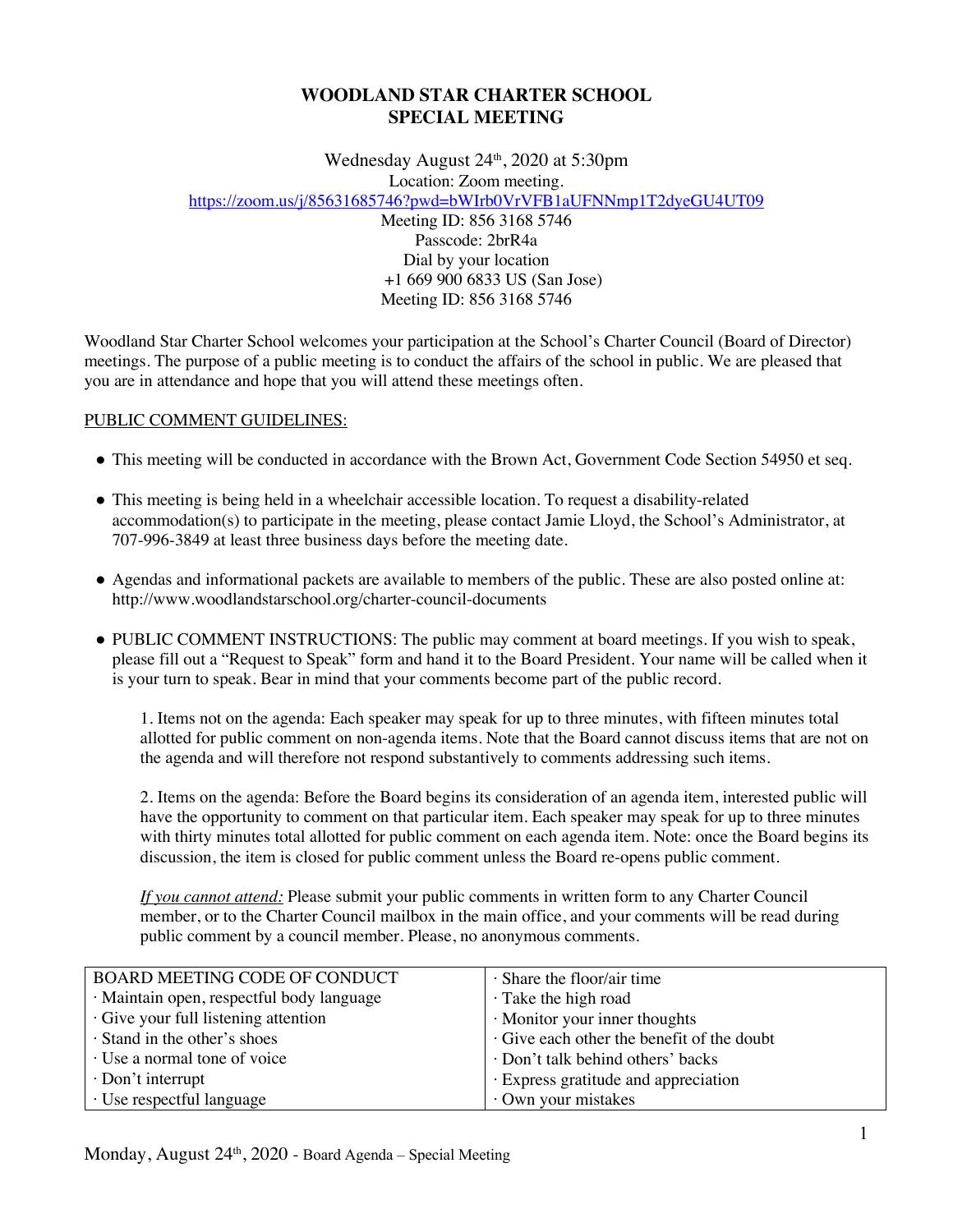# **WOODLAND STAR CHARTER SCHOOL SPECIAL MEETING**

Wednesday August 24th, 2020 at 5:30pm

Location: Zoom meeting.

https://zoom.us/j/85631685746?pwd=bWIrb0VrVFB1aUFNNmp1T2dyeGU4UT09

Meeting ID: 856 3168 5746 Passcode: 2brR4a Dial by your location +1 669 900 6833 US (San Jose) Meeting ID: 856 3168 5746

Woodland Star Charter School welcomes your participation at the School's Charter Council (Board of Director) meetings. The purpose of a public meeting is to conduct the affairs of the school in public. We are pleased that you are in attendance and hope that you will attend these meetings often.

## PUBLIC COMMENT GUIDELINES:

- This meeting will be conducted in accordance with the Brown Act, Government Code Section 54950 et seq.
- This meeting is being held in a wheelchair accessible location. To request a disability-related accommodation(s) to participate in the meeting, please contact Jamie Lloyd, the School's Administrator, at 707-996-3849 at least three business days before the meeting date.
- Agendas and informational packets are available to members of the public. These are also posted online at: http://www.woodlandstarschool.org/charter-council-documents
- PUBLIC COMMENT INSTRUCTIONS: The public may comment at board meetings. If you wish to speak, please fill out a "Request to Speak" form and hand it to the Board President. Your name will be called when it is your turn to speak. Bear in mind that your comments become part of the public record.

1. Items not on the agenda: Each speaker may speak for up to three minutes, with fifteen minutes total allotted for public comment on non-agenda items. Note that the Board cannot discuss items that are not on the agenda and will therefore not respond substantively to comments addressing such items.

2. Items on the agenda: Before the Board begins its consideration of an agenda item, interested public will have the opportunity to comment on that particular item. Each speaker may speak for up to three minutes with thirty minutes total allotted for public comment on each agenda item. Note: once the Board begins its discussion, the item is closed for public comment unless the Board re-opens public comment.

*If you cannot attend:* Please submit your public comments in written form to any Charter Council member, or to the Charter Council mailbox in the main office, and your comments will be read during public comment by a council member. Please, no anonymous comments.

| BOARD MEETING CODE OF CONDUCT              | $\cdot$ Share the floor/air time         |
|--------------------------------------------|------------------------------------------|
| · Maintain open, respectful body language  | · Take the high road                     |
| $\cdot$ Give your full listening attention | $\cdot$ Monitor your inner thoughts      |
| · Stand in the other's shoes               | Give each other the benefit of the doubt |
| · Use a normal tone of voice               | · Don't talk behind others' backs        |
| $\cdot$ Don't interrupt                    | · Express gratitude and appreciation     |
| · Use respectful language                  | Own your mistakes                        |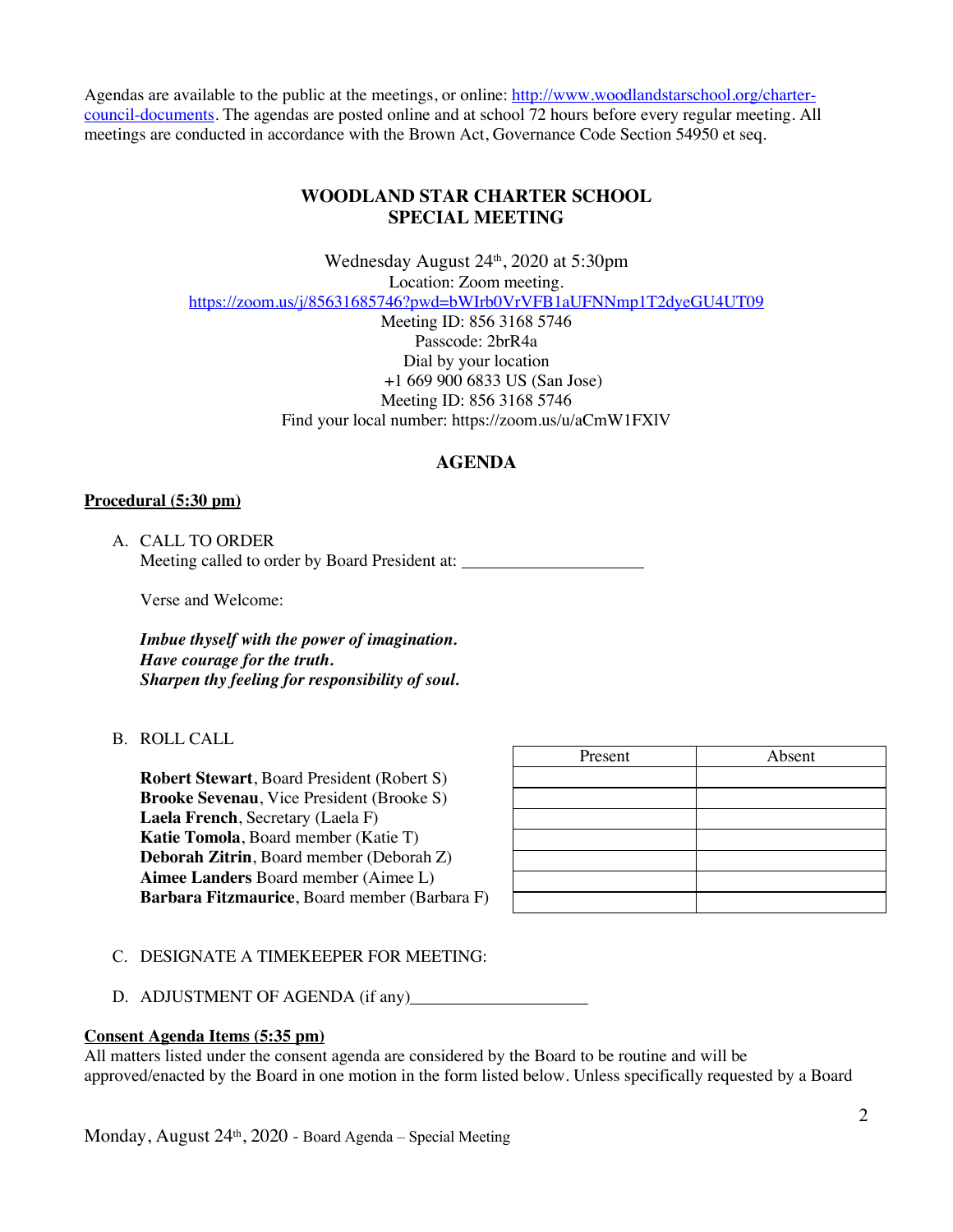Agendas are available to the public at the meetings, or online: http://www.woodlandstarschool.org/chartercouncil-documents. The agendas are posted online and at school 72 hours before every regular meeting. All meetings are conducted in accordance with the Brown Act, Governance Code Section 54950 et seq.

## **WOODLAND STAR CHARTER SCHOOL SPECIAL MEETING**

Wednesday August 24<sup>th</sup>, 2020 at 5:30pm Location: Zoom meeting. https://zoom.us/j/85631685746?pwd=bWIrb0VrVFB1aUFNNmp1T2dyeGU4UT09 Meeting ID: 856 3168 5746 Passcode: 2brR4a Dial by your location +1 669 900 6833 US (San Jose) Meeting ID: 856 3168 5746 Find your local number: https://zoom.us/u/aCmW1FXlV

# **AGENDA**

## **Procedural (5:30 pm)**

A. CALL TO ORDER Meeting called to order by Board President at:

Verse and Welcome:

*Imbue thyself with the power of imagination. Have courage for the truth. Sharpen thy feeling for responsibility of soul.*

B. ROLL CALL

**Robert Stewart**, Board President (Robert S) **Brooke Sevenau**, Vice President (Brooke S) **Laela French**, Secretary (Laela F) **Katie Tomola**, Board member (Katie T) **Deborah Zitrin**, Board member (Deborah Z) **Aimee Landers** Board member (Aimee L) **Barbara Fitzmaurice**, Board member (Barbara F)

| Present | Absent |
|---------|--------|
|         |        |
|         |        |
|         |        |
|         |        |
|         |        |
|         |        |
|         |        |

#### C. DESIGNATE A TIMEKEEPER FOR MEETING:

D. ADJUSTMENT OF AGENDA (if any)

#### **Consent Agenda Items (5:35 pm)**

All matters listed under the consent agenda are considered by the Board to be routine and will be approved/enacted by the Board in one motion in the form listed below. Unless specifically requested by a Board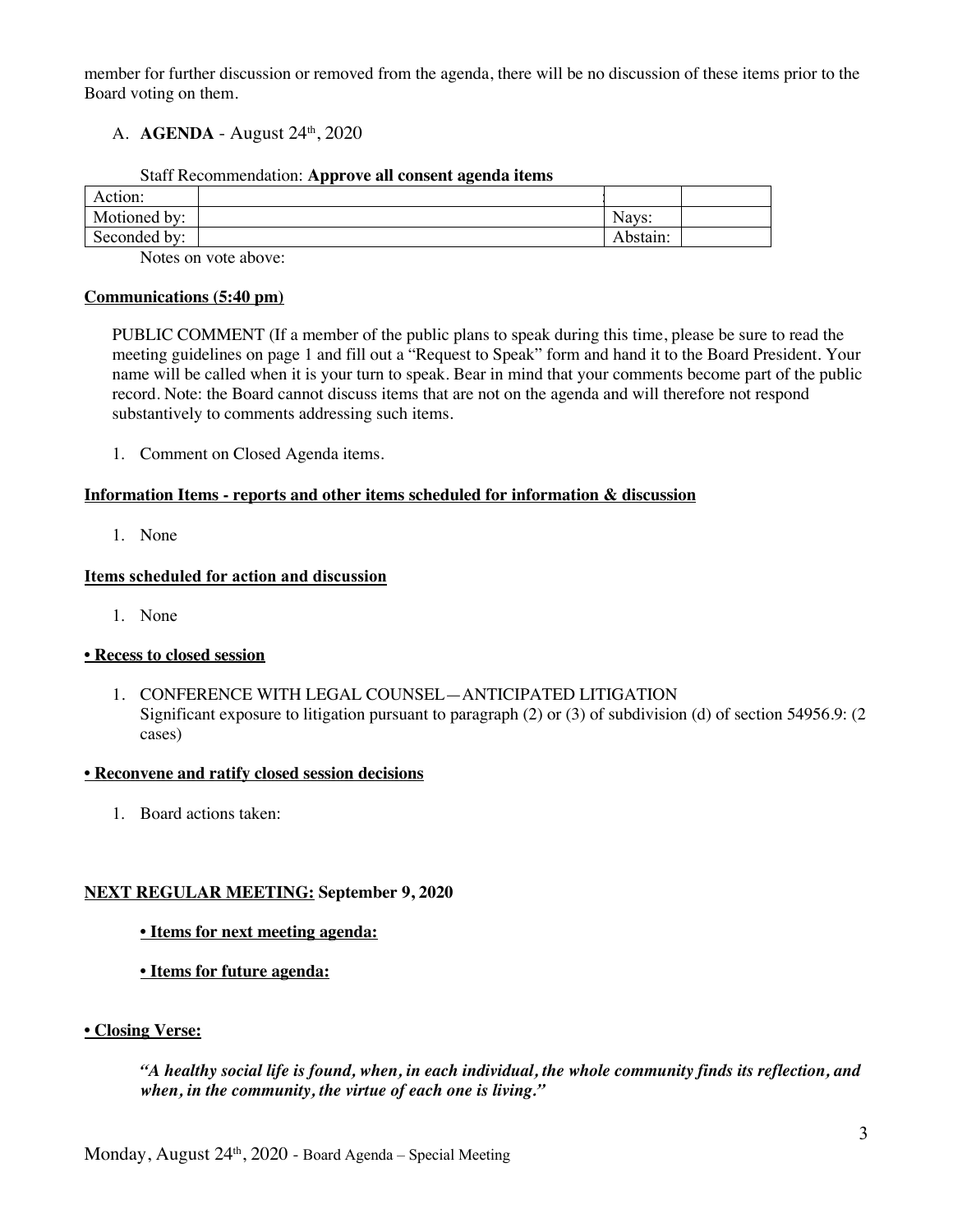member for further discussion or removed from the agenda, there will be no discussion of these items prior to the Board voting on them.

## A. **AGENDA** - August 24th, 2020

| Staff Recommendation: Approve all consent agenda items |  |  |
|--------------------------------------------------------|--|--|
|                                                        |  |  |

| Action:      |                                   |          |  |
|--------------|-----------------------------------|----------|--|
| Motioned by: |                                   | Nays:    |  |
| Seconded by: |                                   | Abstain: |  |
|              | the control of the control of the |          |  |

Notes on vote above:

### **Communications (5:40 pm)**

PUBLIC COMMENT (If a member of the public plans to speak during this time, please be sure to read the meeting guidelines on page 1 and fill out a "Request to Speak" form and hand it to the Board President. Your name will be called when it is your turn to speak. Bear in mind that your comments become part of the public record. Note: the Board cannot discuss items that are not on the agenda and will therefore not respond substantively to comments addressing such items.

1. Comment on Closed Agenda items.

### **Information Items - reports and other items scheduled for information & discussion**

1. None

## **Items scheduled for action and discussion**

1. None

## **• Recess to closed session**

1. CONFERENCE WITH LEGAL COUNSEL—ANTICIPATED LITIGATION Significant exposure to litigation pursuant to paragraph (2) or (3) of subdivision (d) of section 54956.9: (2 cases)

## **• Reconvene and ratify closed session decisions**

1. Board actions taken:

## **NEXT REGULAR MEETING: September 9, 2020**

## **• Items for next meeting agenda:**

**• Items for future agenda:**

## **• Closing Verse:**

*"A healthy social life is found, when, in each individual, the whole community finds its reflection, and when, in the community, the virtue of each one is living."*